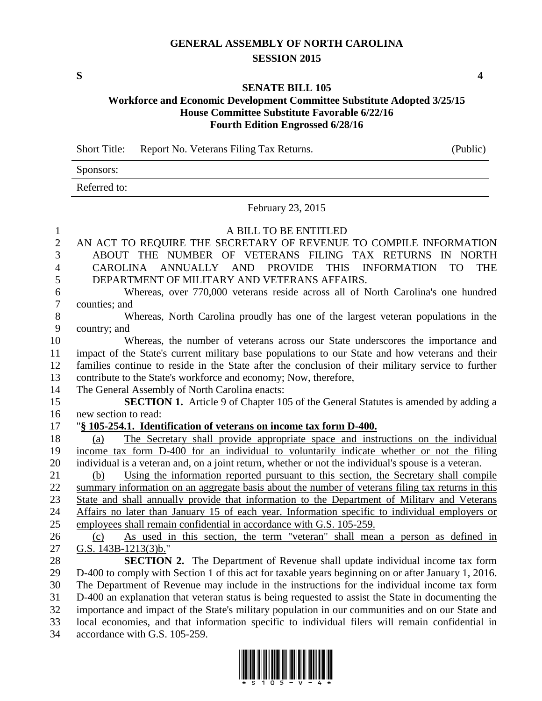## **GENERAL ASSEMBLY OF NORTH CAROLINA SESSION 2015**

**S 4**

## **SENATE BILL 105**

## **Workforce and Economic Development Committee Substitute Adopted 3/25/15 House Committee Substitute Favorable 6/22/16 Fourth Edition Engrossed 6/28/16**

Short Title: Report No. Veterans Filing Tax Returns. (Public)

Sponsors:

Referred to:

February 23, 2015

## A BILL TO BE ENTITLED AN ACT TO REQUIRE THE SECRETARY OF REVENUE TO COMPILE INFORMATION ABOUT THE NUMBER OF VETERANS FILING TAX RETURNS IN NORTH CAROLINA ANNUALLY AND PROVIDE THIS INFORMATION TO THE DEPARTMENT OF MILITARY AND VETERANS AFFAIRS. Whereas, over 770,000 veterans reside across all of North Carolina's one hundred counties; and Whereas, North Carolina proudly has one of the largest veteran populations in the country; and Whereas, the number of veterans across our State underscores the importance and impact of the State's current military base populations to our State and how veterans and their families continue to reside in the State after the conclusion of their military service to further contribute to the State's workforce and economy; Now, therefore, The General Assembly of North Carolina enacts: **SECTION 1.** Article 9 of Chapter 105 of the General Statutes is amended by adding a new section to read: "**§ 105-254.1. Identification of veterans on income tax form D-400.** (a) The Secretary shall provide appropriate space and instructions on the individual income tax form D-400 for an individual to voluntarily indicate whether or not the filing individual is a veteran and, on a joint return, whether or not the individual's spouse is a veteran. (b) Using the information reported pursuant to this section, the Secretary shall compile summary information on an aggregate basis about the number of veterans filing tax returns in this State and shall annually provide that information to the Department of Military and Veterans Affairs no later than January 15 of each year. Information specific to individual employers or employees shall remain confidential in accordance with G.S. 105-259. (c) As used in this section, the term "veteran" shall mean a person as defined in G.S. 143B-1213(3)b." **SECTION 2.** The Department of Revenue shall update individual income tax form D-400 to comply with Section 1 of this act for taxable years beginning on or after January 1, 2016. The Department of Revenue may include in the instructions for the individual income tax form D-400 an explanation that veteran status is being requested to assist the State in documenting the importance and impact of the State's military population in our communities and on our State and local economies, and that information specific to individual filers will remain confidential in

accordance with G.S. 105-259.